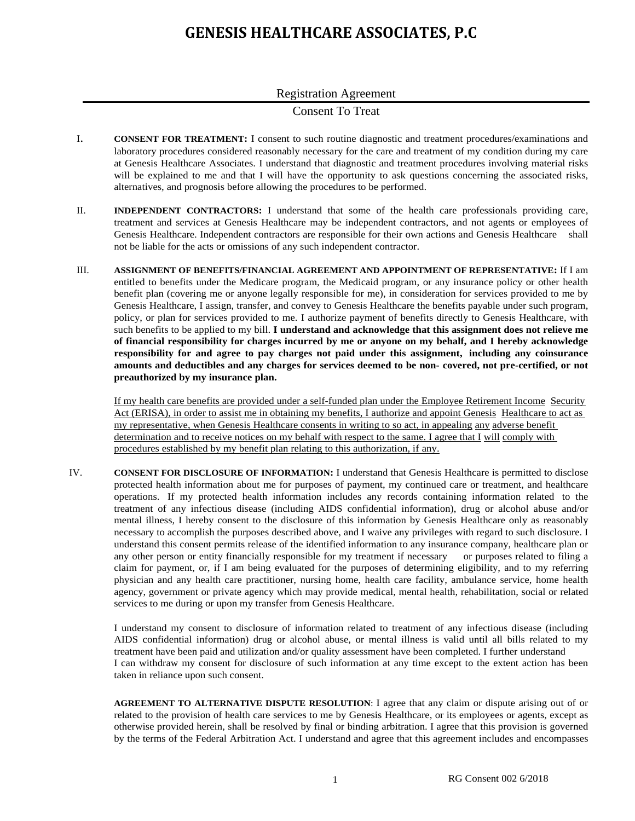## **GENESIS HEALTHCARE ASSOCIATES, P.C**

## Registration Agreement

## Consent To Treat

- I. **CONSENT FOR TREATMENT:** I consent to such routine diagnostic and treatment procedures/examinations and laboratory procedures considered reasonably necessary for the care and treatment of my condition during my care at Genesis Healthcare Associates. I understand that diagnostic and treatment procedures involving material risks will be explained to me and that I will have the opportunity to ask questions concerning the associated risks, alternatives, and prognosis before allowing the procedures to be performed.
- II. **INDEPENDENT CONTRACTORS:** I understand that some of the health care professionals providing care, treatment and services at Genesis Healthcare may be independent contractors, and not agents or employees of Genesis Healthcare. Independent contractors are responsible for their own actions and Genesis Healthcare shall not be liable for the acts or omissions of any such independent contractor.
- III. **ASSIGNMENT OF BENEFITS/FINANCIAL AGREEMENT AND APPOINTMENT OF REPRESENTATIVE:** If I am entitled to benefits under the Medicare program, the Medicaid program, or any insurance policy or other health benefit plan (covering me or anyone legally responsible for me), in consideration for services provided to me by Genesis Healthcare, I assign, transfer, and convey to Genesis Healthcare the benefits payable under such program, policy, or plan for services provided to me. I authorize payment of benefits directly to Genesis Healthcare, with such benefits to be applied to my bill. **I understand and acknowledge that this assignment does not relieve me of financial responsibility for charges incurred by me or anyone on my behalf, and I hereby acknowledge responsibility for and agree to pay charges not paid under this assignment, including any coinsurance amounts and deductibles and any charges for services deemed to be non- covered, not pre-certified, or not preauthorized by my insurance plan.**

If my health care benefits are provided under a self-funded plan under the Employee Retirement Income Security Act (ERISA), in order to assist me in obtaining my benefits, I authorize and appoint Genesis Healthcare to act as my representative, when Genesis Healthcare consents in writing to so act, in appealing any adverse benefit determination and to receive notices on my behalf with respect to the same. I agree that I will comply with procedures established by my benefit plan relating to this authorization, if any.

IV. **CONSENT FOR DISCLOSURE OF INFORMATION:** I understand that Genesis Healthcare is permitted to disclose protected health information about me for purposes of payment, my continued care or treatment, and healthcare operations. If my protected health information includes any records containing information related to the treatment of any infectious disease (including AIDS confidential information), drug or alcohol abuse and/or mental illness, I hereby consent to the disclosure of this information by Genesis Healthcare only as reasonably necessary to accomplish the purposes described above, and I waive any privileges with regard to such disclosure. I understand this consent permits release of the identified information to any insurance company, healthcare plan or any other person or entity financially responsible for my treatment if necessary or purposes related to filing a claim for payment, or, if I am being evaluated for the purposes of determining eligibility, and to my referring physician and any health care practitioner, nursing home, health care facility, ambulance service, home health agency, government or private agency which may provide medical, mental health, rehabilitation, social or related services to me during or upon my transfer from Genesis Healthcare.

I understand my consent to disclosure of information related to treatment of any infectious disease (including AIDS confidential information) drug or alcohol abuse, or mental illness is valid until all bills related to my treatment have been paid and utilization and/or quality assessment have been completed. I further understand I can withdraw my consent for disclosure of such information at any time except to the extent action has been taken in reliance upon such consent.

**AGREEMENT TO ALTERNATIVE DISPUTE RESOLUTION**: I agree that any claim or dispute arising out of or related to the provision of health care services to me by Genesis Healthcare, or its employees or agents, except as otherwise provided herein, shall be resolved by final or binding arbitration. I agree that this provision is governed by the terms of the Federal Arbitration Act. I understand and agree that this agreement includes and encompasses